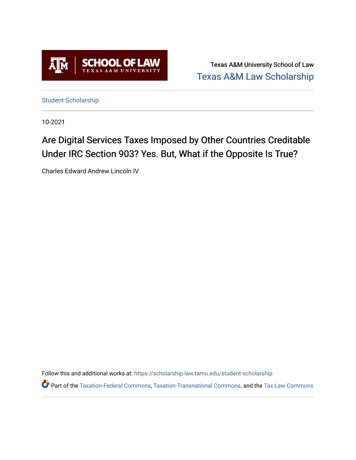

Texas A&M University School of Law [Texas A&M Law Scholarship](https://scholarship.law.tamu.edu/) 

[Student Scholarship](https://scholarship.law.tamu.edu/student-scholarship)

10-2021

# Are Digital Services Taxes Imposed by Other Countries Creditable Under IRC Section 903? Yes. But, What if the Opposite Is True?

Charles Edward Andrew Lincoln IV

Follow this and additional works at: [https://scholarship.law.tamu.edu/student-scholarship](https://scholarship.law.tamu.edu/student-scholarship?utm_source=scholarship.law.tamu.edu%2Fstudent-scholarship%2F22&utm_medium=PDF&utm_campaign=PDFCoverPages) 

Part of the [Taxation-Federal Commons](https://network.bepress.com/hgg/discipline/881?utm_source=scholarship.law.tamu.edu%2Fstudent-scholarship%2F22&utm_medium=PDF&utm_campaign=PDFCoverPages), [Taxation-Transnational Commons](https://network.bepress.com/hgg/discipline/883?utm_source=scholarship.law.tamu.edu%2Fstudent-scholarship%2F22&utm_medium=PDF&utm_campaign=PDFCoverPages), and the [Tax Law Commons](https://network.bepress.com/hgg/discipline/898?utm_source=scholarship.law.tamu.edu%2Fstudent-scholarship%2F22&utm_medium=PDF&utm_campaign=PDFCoverPages)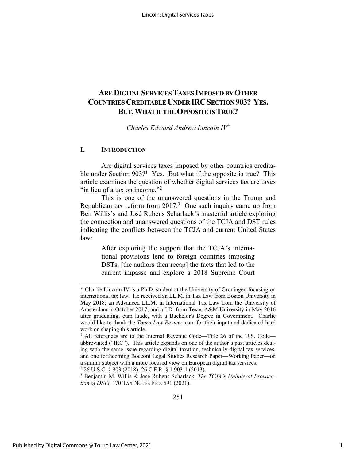# ARE DIGITAL SERVICES TAXES IMPOSED BY OTHER **COUNTRIES CREDITABLE UNDER IRC SECTION 903? YES. BUT, WHAT IF THE OPPOSITE IS TRUE?**

Charles Edward Andrew Lincoln IV\*

### I. **INTRODUCTION**

Are digital services taxes imposed by other countries creditable under Section 903?<sup>1</sup> Yes. But what if the opposite is true? This article examines the question of whether digital services tax are taxes "in lieu of a tax on income."<sup>2</sup>

This is one of the unanswered questions in the Trump and Republican tax reform from  $2017<sup>3</sup>$  One such inquiry came up from Ben Willis's and José Rubens Scharlack's masterful article exploring the connection and unanswered questions of the TCJA and DST rules indicating the conflicts between the TCJA and current United States  $law:$ 

> After exploring the support that the TCJA's international provisions lend to foreign countries imposing DSTs, [the authors then recap] the facts that led to the current impasse and explore a 2018 Supreme Court

<sup>\*</sup> Charlie Lincoln IV is a Ph.D. student at the University of Groningen focusing on international tax law. He received an LL.M. in Tax Law from Boston University in May 2018; an Advanced LL.M. in International Tax Law from the University of Amsterdam in October 2017; and a J.D. from Texas A&M University in May 2016 after graduating, cum laude, with a Bachelor's Degree in Government. Charlie would like to thank the Touro Law Review team for their input and dedicated hard work on shaping this article.

<sup>&</sup>lt;sup>1</sup> All references are to the Internal Revenue Code—Title 26 of the U.S. Code abbreviated ("IRC"). This article expands on one of the author's past articles dealing with the same issue regarding digital taxation, technically digital tax services, and one forthcoming Bocconi Legal Studies Research Paper-Working Paper-on a similar subject with a more focused view on European digital tax services.

 $2$  26 U.S.C. § 903 (2018); 26 C.F.R. § 1.903-1 (2013).

<sup>&</sup>lt;sup>3</sup> Benjamin M. Willis & José Rubens Scharlack, The TCJA's Unilateral Provocation of DSTs, 170 TAX NOTES FED. 591 (2021).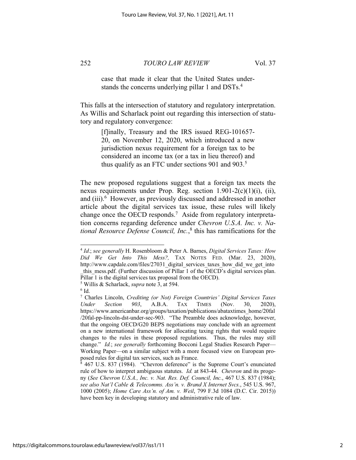#### 252 **TOURO LAW REVIEW** Vol. 37

stands the concerns underlying pillar 1 and DSTs.<sup>4</sup>

case that made it clear that the United States under-

This falls at the intersection of statutory and regulatory interpretation. As Willis and Scharlack point out regarding this intersection of statutory and regulatory convergence:

> [f]inally, Treasury and the IRS issued REG-101657-20, on November 12, 2020, which introduced a new jurisdiction nexus requirement for a foreign tax to be considered an income tax (or a tax in lieu thereof) and thus qualify as an FTC under sections 901 and 903.<sup>5</sup>

The new proposed regulations suggest that a foreign tax meets the nexus requirements under Prop. Reg. section  $1.901-2(c)(1)(i)$ , (ii), and (iii).<sup>6</sup> However, as previously discussed and addressed in another article about the digital services tax issue, these rules will likely change once the OECD responds.<sup>7</sup> Aside from regulatory interpretation concerns regarding deference under *Chevron U.S.A. Inc. v. Na*tional Resource Defense Council, Inc.,<sup>8</sup> this has ramifications for the

<sup>&</sup>lt;sup>4</sup> Id.; see generally H. Rosenbloom & Peter A. Barnes, Digital Services Taxes: How Did We Get Into This Mess?, TAX NOTES FED. (Mar. 23, 2020), http://www.capdale.com/files/27031 digital services taxes how did we get into this mess.pdf. (Further discussion of Pillar 1 of the OECD's digital services plan. Pillar 1 is the digital services tax proposal from the OECD).

<sup>&</sup>lt;sup>5</sup> Willis & Scharlack, *supra* note 3, at 594.

 $^6$  Id.

<sup>&</sup>lt;sup>7</sup> Charles Lincoln, Crediting (or Not) Foreign Countries' Digital Services Taxes (Nov. Section 903, A.B.A. **TAX TIMES** Under 30,  $2020$ ), https://www.americanbar.org/groups/taxation/publications/abataxtimes home/20fal /20fal-pp-lincoln-dst-under-sec-903. "The Preamble does acknowledge, however, that the ongoing OECD/G20 BEPS negotiations may conclude with an agreement on a new international framework for allocating taxing rights that would require changes to the rules in these proposed regulations. Thus, the rules may still change." Id.; see generally forthcoming Bocconi Legal Studies Research Paper-Working Paper—on a similar subject with a more focused view on European proposed rules for digital tax services, such as France.

 $\frac{1}{8}$  467 U.S. 837 (1984). "Chevron deference" is the Supreme Court's enunciated rule of how to interpret ambiguous statutes. *Id.* at 843-44. *Chevron* and its progeny (See Chevron U.S.A., Inc. v. Nat. Res. Def. Council, Inc., 467 U.S. 837 (1984); see also Nat'l Cable & Telecomms. Ass'n. v. Brand X Internet Svcs., 545 U.S. 967, 1000 (2005); Home Care Ass'n. of Am. v. Weil, 799 F.3d 1084 (D.C. Cir. 2015)) have been key in developing statutory and administrative rule of law.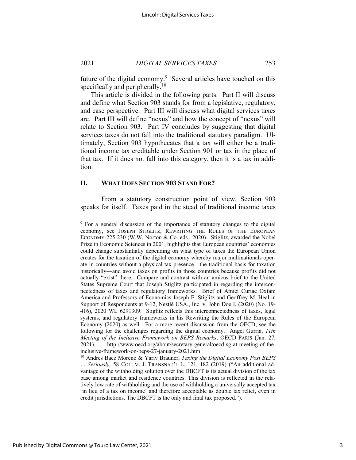future of the digital economy.<sup>9</sup> Several articles have touched on this specifically and peripherally.<sup>10</sup>

253

This article is divided in the following parts. Part II will discuss and define what Section 903 stands for from a legislative, regulatory, and case perspective. Part III will discuss what digital services taxes are. Part III will define "nexus" and how the concept of "nexus" will relate to Section 903. Part IV concludes by suggesting that digital services taxes do not fall into the traditional statutory paradigm. Ultimately, Section 903 hypothecates that a tax will either be a traditional income tax creditable under Section 901 or tax in the place of that tax. If it does not fall into this category, then it is a tax in addition.

### **II. WHAT DOES SECTION 903 STAND FOR?**

From a statutory construction point of view, Section 903 speaks for itself. Taxes paid in the stead of traditional income taxes

<sup>&</sup>lt;sup>9</sup> For a general discussion of the importance of statutory changes to the digital economy, see JOSEPH STIGLITZ, REWRITING THE RULES OF THE EUROPEAN ECONOMY 225-230 (W.W. Norton & Co. eds., 2020). Stiglitz, awarded the Nobel Prize in Economic Sciences in 2001, highlights that European countries' economies could change substantially depending on what type of taxes the European Union creates for the taxation of the digital economy whereby major multinationals operate in countries without a physical tax presence—the traditional basis for taxation historically—and avoid taxes on profits in those countries because profits did not actually "exist" there. Compare and contrast with an amicus brief to the United States Supreme Court that Joseph Stiglitz participated in regarding the interconnectedness of taxes and regulatory frameworks. Brief of Amici Curiae Oxfam America and Professors of Economics Joseph E. Stiglitz and Geoffrey M. Heal in Support of Respondents at 9-12, Nestlé USA., Inc. v. John Doe I, (2020) (No. 19-416), 2020 WL 6291309. Stiglitz reflects this interconnectedness of taxes, legal systems, and regulatory frameworks in his Rewriting the Rules of the European Economy (2020) as well. For a more recent discussion from the OECD, see the following for the challenges regarding the digital economy. Angel Gurría, 11th Meeting of the Inclusive Framework on BEPS Remarks, OECD PARIS (Jan. 27,  $2021$ , http://www.oecd.org/about/secretary-general/oecd-sg-at-meeting-of-theinclusive-framework-on-beps-27-january-2021.htm.

 $10$  Andres Baez Moreno & Yariv Brauner, Taxing the Digital Economy Post BEPS ... Seriously, 58 COLUM. J. TRANSNAT'L L. 121, 182 (2019) ("An additional advantage of the withholding solution over the DBCFT is its actual division of the tax base among market and residence countries. This division is reflected in the relatively low rate of withholding and the use of withholding a universally accepted tax 'in lieu of a tax on income' and therefore acceptable as double tax relief, even in credit jurisdictions. The DBCFT is the only and final tax proposed.").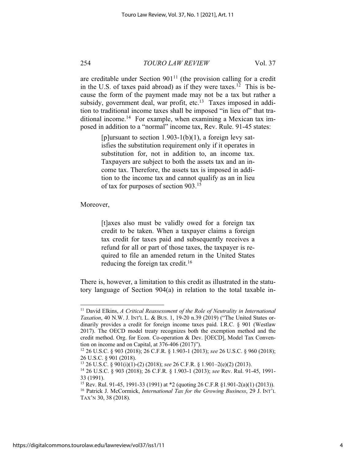### 254 **TOURO LAW REVIEW** Vol. 37

are creditable under Section  $901<sup>11</sup>$  (the provision calling for a credit in the U.S. of taxes paid abroad) as if they were taxes.<sup>12</sup> This is because the form of the payment made may not be a tax but rather a subsidy, government deal, war profit, etc.<sup>13</sup> Taxes imposed in addition to traditional income taxes shall be imposed "in lieu of" that traditional income.<sup>14</sup> For example, when examining a Mexican tax imposed in addition to a "normal" income tax, Rev. Rule. 91-45 states:

> [p] ursuant to section  $1.903-1(b)(1)$ , a foreign levy satisfies the substitution requirement only if it operates in substitution for, not in addition to, an income tax. Taxpayers are subject to both the assets tax and an income tax. Therefore, the assets tax is imposed in addition to the income tax and cannot qualify as an in lieu of tax for purposes of section 903.<sup>15</sup>

Moreover,

[t] axes also must be validly owed for a foreign tax credit to be taken. When a taxpayer claims a foreign tax credit for taxes paid and subsequently receives a refund for all or part of those taxes, the taxpayer is required to file an amended return in the United States reducing the foreign tax credit.<sup>16</sup>

There is, however, a limitation to this credit as illustrated in the statutory language of Section 904(a) in relation to the total taxable in-

 $11$  David Elkins, A Critical Reassessment of the Role of Neutrality in International Taxation, 40 N.W. J. INT'L L. & BUS. 1, 19-20 n.39 (2019) ("The United States ordinarily provides a credit for foreign income taxes paid. I.R.C. § 901 (Westlaw 2017). The OECD model treaty recognizes both the exemption method and the credit method. Org. for Econ. Co-operation & Dev. [OECD], Model Tax Convention on income and on Capital, at 376-406 (2017)").

<sup>&</sup>lt;sup>12</sup> 26 U.S.C. § 903 (2018); 26 C.F.R. § 1.903-1 (2013); see 26 U.S.C. § 960 (2018); 26 U.S.C. § 901 (2018).

<sup>&</sup>lt;sup>13</sup> 26 U.S.C. § 901(i)(1)-(2) (2018); see 26 C.F.R. § 1.901-2(e)(2) (2013).

<sup>&</sup>lt;sup>14</sup> 26 U.S.C. § 903 (2018); 26 C.F.R. § 1.903-1 (2013); see Rev. Rul. 91-45, 1991-33 (1991).

<sup>&</sup>lt;sup>15</sup> Rev. Rul. 91-45, 1991-33 (1991) at \*2 (quoting 26 C.F.R §1.901-2(a)(1) (2013)).

<sup>&</sup>lt;sup>16</sup> Patrick J. McCormick, *International Tax for the Growing Business*, 29 J. INT'L TAX'N 30, 38 (2018).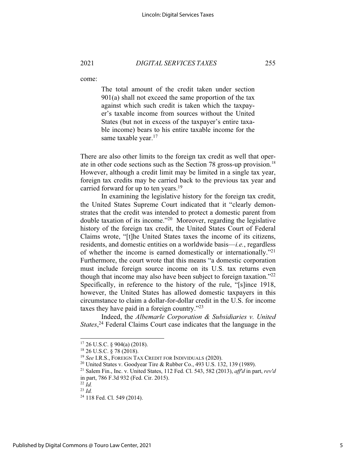2021

DIGITAL SERVICES TAXES

come:

The total amount of the credit taken under section  $901(a)$  shall not exceed the same proportion of the tax against which such credit is taken which the taxpayer's taxable income from sources without the United States (but not in excess of the taxpayer's entire taxable income) bears to his entire taxable income for the same taxable vear. $17$ 

There are also other limits to the foreign tax credit as well that operate in other code sections such as the Section 78 gross-up provision.<sup>18</sup> However, although a credit limit may be limited in a single tax year, foreign tax credits may be carried back to the previous tax year and carried forward for up to ten years.<sup>19</sup>

In examining the legislative history for the foreign tax credit, the United States Supreme Court indicated that it "clearly demonstrates that the credit was intended to protect a domestic parent from double taxation of its income."<sup>20</sup> Moreover, regarding the legislative history of the foreign tax credit, the United States Court of Federal Claims wrote, "[t] he United States taxes the income of its citizens, residents, and domestic entities on a worldwide basis—*i.e.*, regardless of whether the income is earned domestically or internationally."<sup>21</sup> Furthermore, the court wrote that this means "a domestic corporation must include foreign source income on its U.S. tax returns even though that income may also have been subject to foreign taxation."22 Specifically, in reference to the history of the rule, "[s]ince 1918, however, the United States has allowed domestic taxpayers in this circumstance to claim a dollar-for-dollar credit in the U.S. for income taxes they have paid in a foreign country."23

Indeed, the Albemarle Corporation & Subsidiaries v. United *States*<sup>24</sup> Federal Claims Court case indicates that the language in the

 $17$  26 U.S.C. § 904(a) (2018).

<sup>&</sup>lt;sup>18</sup> 26 U.S.C. § 78 (2018).

<sup>&</sup>lt;sup>19</sup> See I.R.S., FOREIGN TAX CREDIT FOR INDIVIDUALS (2020).

<sup>&</sup>lt;sup>20</sup> United States v. Goodyear Tire & Rubber Co., 493 U.S. 132, 139 (1989).

<sup>&</sup>lt;sup>21</sup> Salem Fin., Inc. v. United States, 112 Fed. Cl. 543, 582 (2013), *aff'd* in part,  $rev'd$ in part, 786 F.3d 932 (Fed. Cir. 2015).

 $^{22}$   $\tilde{I}$ d.  $^{23}$  *Id.* 

<sup>&</sup>lt;sup>24</sup> 118 Fed. Cl. 549 (2014).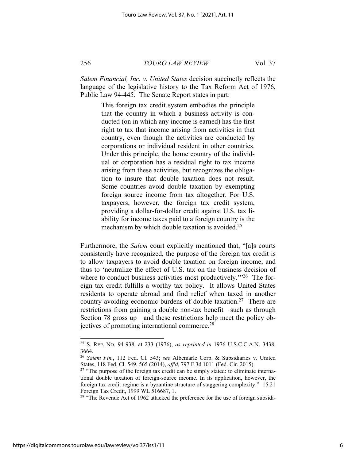# **TOURO LAW REVIEW**

Salem Financial, Inc. v. United States decision succinctly reflects the language of the legislative history to the Tax Reform Act of 1976, Public Law 94-445. The Senate Report states in part:

> This foreign tax credit system embodies the principle that the country in which a business activity is conducted (on in which any income is earned) has the first right to tax that income arising from activities in that country, even though the activities are conducted by corporations or individual resident in other countries. Under this principle, the home country of the individual or corporation has a residual right to tax income arising from these activities, but recognizes the obligation to insure that double taxation does not result. Some countries avoid double taxation by exempting foreign source income from tax altogether. For U.S. taxpayers, however, the foreign tax credit system, providing a dollar-for-dollar credit against U.S. tax liability for income taxes paid to a foreign country is the mechanism by which double taxation is avoided.<sup>25</sup>

Furthermore, the *Salem* court explicitly mentioned that, "[a]s courts consistently have recognized, the purpose of the foreign tax credit is to allow taxpayers to avoid double taxation on foreign income, and thus to 'neutralize the effect of U.S. tax on the business decision of where to conduct business activities most productively."<sup>26</sup> The foreign tax credit fulfills a worthy tax policy. It allows United States residents to operate abroad and find relief when taxed in another country avoiding economic burdens of double taxation.<sup>27</sup> There are restrictions from gaining a double non-tax benefit—such as through Section 78 gross up—and these restrictions help meet the policy objectives of promoting international commerce.<sup>28</sup>

<sup>&</sup>lt;sup>25</sup> S. REP. No. 94-938, at 233 (1976), as reprinted in 1976 U.S.C.C.A.N. 3438, 3664.

<sup>&</sup>lt;sup>26</sup> Salem Fin., 112 Fed. Cl. 543; see Albemarle Corp. & Subsidiaries v. United States, 118 Fed. Cl. 549, 565 (2014), aff'd, 797 F.3d 1011 (Fed. Cir. 2015).

<sup>&</sup>lt;sup>27</sup> "The purpose of the foreign tax credit can be simply stated: to eliminate international double taxation of foreign-source income. In its application, however, the foreign tax credit regime is a byzantine structure of staggering complexity." 15.21 Foreign Tax Credit, 1999 WL 516687, 1.

<sup>&</sup>lt;sup>28</sup> "The Revenue Act of 1962 attacked the preference for the use of foreign subsidi-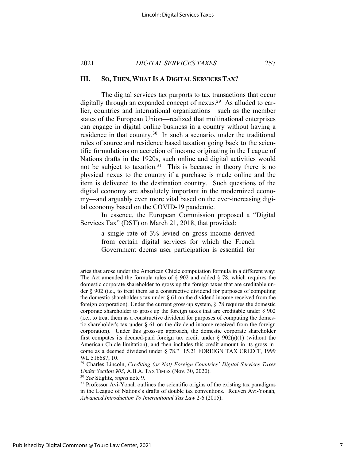257

### 2021 **DIGITAL SERVICES TAXES**

### Ш. SO, THEN, WHAT IS A DIGITAL SERVICES TAX?

The digital services tax purports to tax transactions that occur digitally through an expanded concept of nexus.<sup>29</sup> As alluded to earlier, countries and international organizations—such as the member states of the European Union—realized that multinational enterprises can engage in digital online business in a country without having a residence in that country.<sup>30</sup> In such a scenario, under the traditional rules of source and residence based taxation going back to the scientific formulations on accretion of income originating in the League of Nations drafts in the 1920s, such online and digital activities would not be subject to taxation.<sup>31</sup> This is because in theory there is no physical nexus to the country if a purchase is made online and the item is delivered to the destination country. Such questions of the digital economy are absolutely important in the modernized economy—and arguably even more vital based on the ever-increasing digital economy based on the COVID-19 pandemic.

In essence, the European Commission proposed a "Digital" Services Tax" (DST) on March 21, 2018, that provided:

> a single rate of 3% levied on gross income derived from certain digital services for which the French Government deems user participation is essential for

<sup>30</sup> See Stiglitz, supra note 9.

aries that arose under the American Chicle computation formula in a different way: The Act amended the formula rules of  $\S$  902 and added  $\S$  78, which requires the domestic corporate shareholder to gross up the foreign taxes that are creditable under  $\S$  902 (i.e., to treat them as a constructive dividend for purposes of computing the domestic shareholder's tax under  $\S 61$  on the dividend income received from the foreign corporation). Under the current gross-up system,  $\S$  78 requires the domestic corporate shareholder to gross up the foreign taxes that are creditable under  $\S 902$ (i.e., to treat them as a constructive dividend for purposes of computing the domestic shareholder's tax under  $\S$  61 on the dividend income received from the foreign corporation). Under this gross-up approach, the domestic corporate shareholder first computes its deemed-paid foreign tax credit under  $\S$  902(a)(1) (without the American Chicle limitation), and then includes this credit amount in its gross income as a deemed dividend under § 78." 15.21 FOREIGN TAX CREDIT, 1999 WL 516687, 10.

<sup>&</sup>lt;sup>29</sup> Charles Lincoln, Crediting (or Not) Foreign Countries' Digital Services Taxes Under Section 903, A.B.A. TAX TIMES (Nov. 30, 2020).

<sup>&</sup>lt;sup>31</sup> Professor Avi-Yonah outlines the scientific origins of the existing tax paradigms in the League of Nations's drafts of double tax conventions. Reuven Avi-Yonah, Advanced Introduction To International Tax Law 2-6 (2015).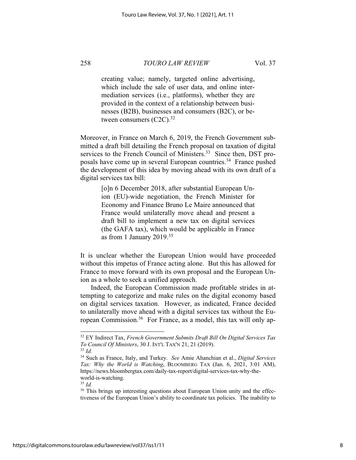## **TOURO LAW REVIEW**

Vol. 37

creating value; namely, targeted online advertising, which include the sale of user data, and online intermediation services (i.e., platforms), whether they are provided in the context of a relationship between businesses (B2B), businesses and consumers (B2C), or between consumers  $(C2C)^{32}$ 

Moreover, in France on March 6, 2019, the French Government submitted a draft bill detailing the French proposal on taxation of digital services to the French Council of Ministers.<sup>33</sup> Since then, DST proposals have come up in several European countries.<sup>34</sup> France pushed the development of this idea by moving ahead with its own draft of a digital services tax bill:

> [o]n 6 December 2018, after substantial European Union (EU)-wide negotiation, the French Minister for Economy and Finance Bruno Le Maire announced that France would unilaterally move ahead and present a draft bill to implement a new tax on digital services (the GAFA tax), which would be applicable in France as from 1 January 2019. $35$

It is unclear whether the European Union would have proceeded without this impetus of France acting alone. But this has allowed for France to move forward with its own proposal and the European Union as a whole to seek a unified approach.

Indeed, the European Commission made profitable strides in attempting to categorize and make rules on the digital economy based on digital services taxation. However, as indicated, France decided to unilaterally move ahead with a digital services tax without the European Commission.<sup>36</sup> For France, as a model, this tax will only ap-

<sup>&</sup>lt;sup>32</sup> EY Indirect Tax, French Government Submits Draft Bill On Digital Services Tax To Council Of Ministers, 30 J. INT'L TAX'N 21, 21 (2019).

 $33$  Id.

<sup>&</sup>lt;sup>34</sup> Such as France, Italy, and Turkey. See Amie Ahanchian et al., Digital Services Tax: Why the World is Watching, BLOOMBERG TAX (Jan. 6, 2021, 3:01 AM), https://news.bloombergtax.com/daily-tax-report/digital-services-tax-why-theworld-is-watching.

 $35$  Id.

<sup>&</sup>lt;sup>36</sup> This brings up interesting questions about European Union unity and the effectiveness of the European Union's ability to coordinate tax policies. The inability to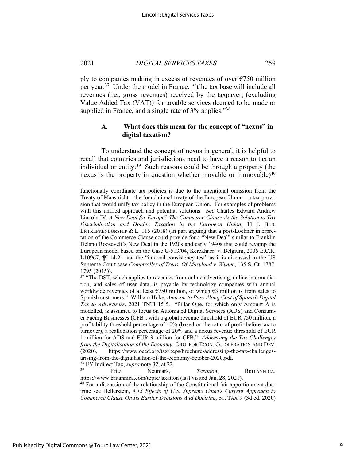ply to companies making in excess of revenues of over  $\epsilon$ 750 million per year.<sup>37</sup> Under the model in France, "[t] he tax base will include all revenues (i.e., gross revenues) received by the taxpayer, (excluding Value Added Tax (VAT)) for taxable services deemed to be made or supplied in France, and a single rate of 3% applies."<sup>38</sup>

### What does this mean for the concept of "nexus" in  $\mathbf{A}$ . digital taxation?

To understand the concept of nexus in general, it is helpful to recall that countries and jurisdictions need to have a reason to tax an individual or entity.<sup>39</sup> Such reasons could be through a property (the nexus is the property in question whether movable or immovable)<sup>40</sup>

<sup>38</sup> EY Indirect Tax, *supra* note 32, at 22. 39 Fritz Neumark, Taxation, BRITANNICA, https://www.britannica.com/topic/taxation (last visited Jan. 28, 2021).

<sup>40</sup> For a discussion of the relationship of the Constitutional fair apportionment doctrine see Hellerstein, 4.13 Effects of U.S. Supreme Court's Current Approach to Commerce Clause On Its Earlier Decisions And Doctrine, ST. TAX'N (3d ed. 2020)

functionally coordinate tax policies is due to the intentional omission from the Treaty of Maastricht—the foundational treaty of the European Union—a tax provision that would unify tax policy in the European Union. For examples of problems with this unified approach and potential solutions. See Charles Edward Andrew Lincoln IV, A New Deal for Europe? The Commerce Clause As the Solution to Tax Discrimination and Double Taxation in the European Union, 11 J. BUS. ENTREPRENEURSHIP & L. 115 (2018) (In part arguing that a post-Lochner interpretation of the Commerce Clause could provide for a "New Deal" similar to Franklin Delano Roosevelt's New Deal in the 1930s and early 1940s that could revamp the European model based on the Case C-513/04, Kerckhaert v. Belgium, 2006 E.C.R. I-10967,  $\P$  14-21 and the "internal consistency test" as it is discussed in the US Supreme Court case Comptroller of Treas. Of Maryland v. Wynne, 135 S. Ct. 1787,  $1795(2015)$ ).

<sup>&</sup>lt;sup>37</sup> "The DST, which applies to revenues from online advertising, online intermediation, and sales of user data, is payable by technology companies with annual worldwide revenues of at least  $\epsilon$ 750 million, of which  $\epsilon$ 3 million is from sales to Spanish customers." William Hoke, Amazon to Pass Along Cost of Spanish Digital Tax to Advertisers, 2021 TNTI 15-5. "Pillar One, for which only Amount A is modelled, is assumed to focus on Automated Digital Services (ADS) and Consumer Facing Businesses (CFB), with a global revenue threshold of EUR 750 million, a profitability threshold percentage of 10% (based on the ratio of profit before tax to turnover), a reallocation percentage of 20% and a nexus revenue threshold of EUR 1 million for ADS and EUR 3 million for CFB." Addressing the Tax Challenges from the Digitalisation of the Economy, ORG. FOR ECON. CO-OPERATION AND DEV.  $(2020),$ https://www.oecd.org/tax/beps/brochure-addressing-the-tax-challengesarising-from-the-digitalisation-of-the-economy-october-2020.pdf.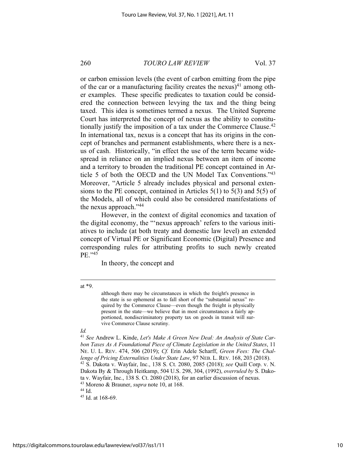260 **TOURO LAW REVIEW** Vol 37

or carbon emission levels (the event of carbon emitting from the pipe of the car or a manufacturing facility creates the nexus)<sup>41</sup> among other examples. These specific predicates to taxation could be considered the connection between levying the tax and the thing being taxed. This idea is sometimes termed a nexus. The United Supreme Court has interpreted the concept of nexus as the ability to constitutionally justify the imposition of a tax under the Commerce Clause.<sup>42</sup> In international tax, nexus is a concept that has its origins in the concept of branches and permanent establishments, where there is a nexus of cash. Historically, "in effect the use of the term became widespread in reliance on an implied nexus between an item of income and a territory to broaden the traditional PE concept contained in Article 5 of both the OECD and the UN Model Tax Conventions."43 Moreover, "Article 5 already includes physical and personal extensions to the PE concept, contained in Articles  $5(1)$  to  $5(3)$  and  $5(5)$  of the Models, all of which could also be considered manifestations of the nexus approach."<sup>44</sup>

However, in the context of digital economics and taxation of the digital economy, the ""nexus approach" refers to the various initiatives to include (at both treaty and domestic law level) an extended concept of Virtual PE or Significant Economic (Digital) Presence and corresponding rules for attributing profits to such newly created PE."45

In theory, the concept and

at  $*9$ .

although there may be circumstances in which the freight's presence in the state is so ephemeral as to fall short of the "substantial nexus" required by the Commerce Clause—even though the freight is physically present in the state—we believe that in most circumstances a fairly apportioned, nondiscriminatory property tax on goods in transit will survive Commerce Clause scrutiny.

# $Id$ .

Dakota By & Through Heitkamp, 504 U.S. 298, 304, (1992), overruled by S. Dakota v. Wayfair, Inc., 138 S. Ct. 2080 (2018), for an earlier discussion of nexus. <sup>43</sup> Moreno & Brauner, *supra* note 10, at 168.

 $44$  Id.

<sup>45</sup> Id. at 168-69.

<sup>&</sup>lt;sup>41</sup> See Andrew L. Kinde, Let's Make A Green New Deal: An Analysis of State Carbon Taxes As A Foundational Piece of Climate Legislation in the United States, 11 NE. U. L. REV. 474, 506 (2019); Cf. Erin Adele Scharff, Green Fees: The Challenge of Pricing Externalities Under State Law, 97 NEB. L. REV. 168, 203 (2018). <sup>42</sup> S. Dakota v. Wayfair, Inc., 138 S. Ct. 2080, 2085 (2018); see Quill Corp. v. N.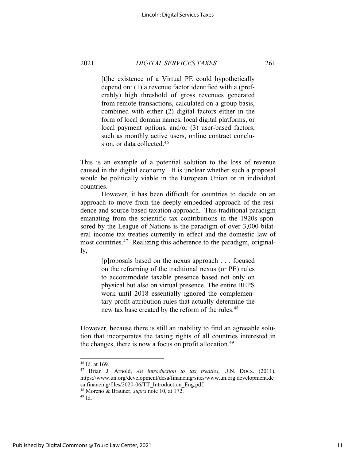[t] he existence of a Virtual PE could hypothetically depend on: (1) a revenue factor identified with a (preferably) high threshold of gross revenues generated from remote transactions, calculated on a group basis, combined with either (2) digital factors either in the form of local domain names, local digital platforms, or local payment options, and/or (3) user-based factors, such as monthly active users, online contract conclusion, or data collected.<sup>46</sup>

261

This is an example of a potential solution to the loss of revenue caused in the digital economy. It is unclear whether such a proposal would be politically viable in the European Union or in individual countries.

However, it has been difficult for countries to decide on an approach to move from the deeply embedded approach of the residence and source-based taxation approach. This traditional paradigm emanating from the scientific tax contributions in the 1920s sponsored by the League of Nations is the paradigm of over 3,000 bilateral income tax treaties currently in effect and the domestic law of most countries.<sup>47</sup> Realizing this adherence to the paradigm, original- $\mathbf{I} \mathbf{v}$ 

> [p] roposals based on the nexus approach . . . focused on the reframing of the traditional nexus (or PE) rules to accommodate taxable presence based not only on physical but also on virtual presence. The entire BEPS work until 2018 essentially ignored the complementary profit attribution rules that actually determine the new tax base created by the reform of the rules.<sup>48</sup>

However, because there is still an inability to find an agreeable solution that incorporates the taxing rights of all countries interested in the changes, there is now a focus on profit allocation.<sup>49</sup>

<sup>&</sup>lt;sup>46</sup> Id. at 169.

<sup>&</sup>lt;sup>47</sup> Brian J. Arnold, An introduction to tax treaties, U.N. Docs. (2011), https://www.un.org/development/desa/financing/sites/www.un.org.development.de sa.financing/files/2020-06/TT Introduction Eng.pdf. <sup>48</sup> Moreno & Brauner, *supra* note 10, at 172.

 $49$  Id.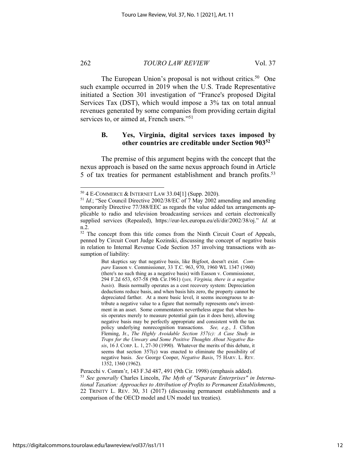#### 262 **TOURO LAW REVIEW** Vol 37

The European Union's proposal is not without critics.<sup>50</sup> One such example occurred in 2019 when the U.S. Trade Representative initiated a Section 301 investigation of "France's proposed Digital Services Tax (DST), which would impose a 3% tax on total annual revenues generated by some companies from providing certain digital services to, or aimed at, French users."<sup>51</sup>

### **B.** Yes, Virginia, digital services taxes imposed by other countries are creditable under Section 903<sup>52</sup>

The premise of this argument begins with the concept that the nexus approach is based on the same nexus approach found in Article 5 of tax treaties for permanent establishment and branch profits.<sup>53</sup>

Peracchi v. Comm'r, 143 F.3d 487, 491 (9th Cir. 1998) (emphasis added).

 $50$  4 E-COMMERCE & INTERNET LAW 33.04[1] (Supp. 2020).

 $51$  *Id.*; "See Council Directive 2002/38/EC of 7 May 2002 amending and amending temporarily Directive 77/388/EEC as regards the value added tax arrangements applicable to radio and television broadcasting services and certain electronically supplied services (Repealed), https://eur-lex.europa.eu/eli/dir/2002/38/oj." Id. at  $n.2.$ 

<sup>&</sup>lt;sup>52</sup> The concept from this title comes from the Ninth Circuit Court of Appeals, penned by Circuit Court Judge Kozinski, discussing the concept of negative basis in relation to Internal Revenue Code Section 357 involving transactions with assumption of liability:

But skeptics say that negative basis, like Bigfoot, doesn't exist. Compare Easson v. Commissioner, 33 T.C. 963, 970, 1960 WL 1347 (1960) (there's no such thing as a negative basis) with Easson v. Commissioner, 294 F.2d 653, 657-58 (9th Cir.1961) (ves. Virginia, there is a negative basis). Basis normally operates as a cost recovery system: Depreciation deductions reduce basis, and when basis hits zero, the property cannot be depreciated farther. At a more basic level, it seems incongruous to attribute a negative value to a figure that normally represents one's investment in an asset. Some commentators nevertheless argue that when basis operates merely to measure potential gain (as it does here), allowing negative basis may be perfectly appropriate and consistent with the tax policy underlying nonrecognition transactions. See, e.g., J. Clifton Fleming, Jr., The Highly Avoidable Section  $357(c)$ : A Case Study in Traps for the Unwary and Some Positive Thoughts About Negative Basis, 16 J. CORP. L. 1, 27-30 (1990). Whatever the merits of this debate, it seems that section  $357(c)$  was enacted to eliminate the possibility of negative basis. See George Cooper, Negative Basis, 75 HARV. L. REV. 1352, 1360 (1962).

<sup>&</sup>lt;sup>53</sup> See generally Charles Lincoln, The Myth of "Separate Enterprises" in International Taxation: Approaches to Attribution of Profits to Permanent Establishments, 22 TRINITY L. REV. 30, 31 (2017) (discussing permanent establishments and a comparison of the OECD model and UN model tax treaties).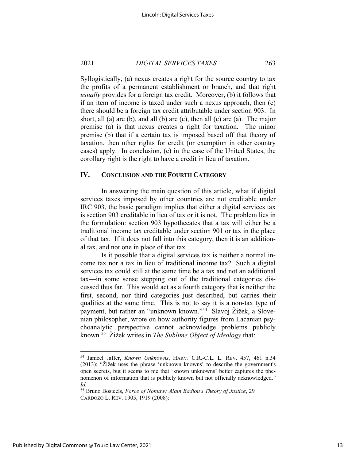Syllogistically, (a) nexus creates a right for the source country to tax the profits of a permanent establishment or branch, and that right *usually* provides for a foreign tax credit. Moreover, (b) it follows that if an item of income is taxed under such a nexus approach, then (c) there should be a foreign tax credit attributable under section 903. In short, all (a) are (b), and all (b) are (c), then all (c) are (a). The major premise (a) is that nexus creates a right for taxation. The minor premise (b) that if a certain tax is imposed based off that theory of taxation, then other rights for credit (or exemption in other country cases) apply. In conclusion, (c) in the case of the United States, the corollary right is the right to have a credit in lieu of taxation.

### IV. **CONCLUSION AND THE FOURTH CATEGORY**

In answering the main question of this article, what if digital services taxes imposed by other countries are not creditable under IRC 903, the basic paradigm implies that either a digital services tax is section 903 creditable in lieu of tax or it is not. The problem lies in the formulation: section 903 hypothecates that a tax will either be a traditional income tax creditable under section 901 or tax in the place of that tax. If it does not fall into this category, then it is an additional tax, and not one in place of that tax.

Is it possible that a digital services tax is neither a normal income tax nor a tax in lieu of traditional income tax? Such a digital services tax could still at the same time be a tax and not an additional tax—in some sense stepping out of the traditional categories discussed thus far. This would act as a fourth category that is neither the first, second, nor third categories just described, but carries their qualities at the same time. This is not to say it is a non-tax type of payment, but rather an "unknown known."<sup>54</sup> Slavoj Žižek, a Slovenian philosopher, wrote on how authority figures from Lacanian psychoanalytic perspective cannot acknowledge problems publicly known.<sup>55</sup> Žižek writes in *The Sublime Object of Ideology* that:

<sup>&</sup>lt;sup>54</sup> Jameel Jaffer, Known Unknowns, HARV. C.R.-C.L. L. REV. 457, 461 n.34 (2013); "Žižek uses the phrase 'unknown knowns' to describe the government's open secrets, but it seems to me that 'known unknowns' better captures the phenomenon of information that is publicly known but not officially acknowledged." Id.

<sup>&</sup>lt;sup>55</sup> Bruno Bosteels, *Force of Nonlaw: Alain Badiou's Theory of Justice*, 29 CARDOZO L. REV. 1905, 1919 (2008):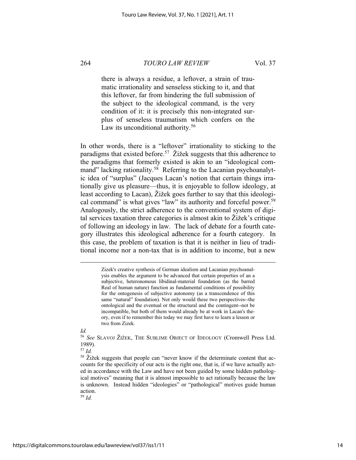# 264

# **TOURO LAW REVIEW**

Vol 37

there is always a residue, a leftover, a strain of traumatic irrationality and senseless sticking to it, and that this leftover, far from hindering the full submission of the subject to the ideological command, is the very condition of it: it is precisely this non-integrated surplus of senseless traumatism which confers on the Law its unconditional authority.<sup>56</sup>

In other words, there is a "leftover" irrationality to sticking to the paradigms that existed before.<sup>57</sup> Žižek suggests that this adherence to the paradigms that formerly existed is akin to an "ideological command" lacking rationality.<sup>58</sup> Referring to the Lacanian psychoanalytic idea of "surplus" (Jacques Lacan's notion that certain things irrationally give us pleasure—thus, it is enjoyable to follow ideology, at least according to Lacan), Žižek goes further to say that this ideological command" is what gives "law" its authority and forceful power.<sup>59</sup> Analogously, the strict adherence to the conventional system of digital services taxation three categories is almost akin to  $\ddot{Z}$  izek's critique of following an ideology in law. The lack of debate for a fourth category illustrates this ideological adherence for a fourth category. In this case, the problem of taxation is that it is neither in lieu of traditional income nor a non-tax that is in addition to income, but a new

 $Id.$ 

 $57$  Id.

Zizek's creative synthesis of German idealism and Lacanian psychoanalysis enables the argument to be advanced that certain properties of an a subjective, heteronomous libidinal-material foundation (as the barred Real of human nature) function as fundamental conditions of possibility for the ontogenesis of subjective autonomy (as a transcendence of this same "natural" foundation). Not only would these two perspectives--the ontological and the eventual or the structural and the contingent-not be incompatible, but both of them would already be at work in Lacan's theory, even if to remember this today we may first have to learn a lesson or two from Zizek.

<sup>&</sup>lt;sup>56</sup> See SLAVOJ ŽIŽEK, THE SUBLIME OBJECT OF IDEOLOGY (Cromwell Press Ltd. 1989).

<sup>&</sup>lt;sup>58</sup> Žižek suggests that people can "never know if the determinate content that accounts for the specificity of our acts is the right one, that is, if we have actually acted in accordance with the Law and have not been guided by some hidden pathological motives" meaning that it is almost impossible to act rationally because the law is unknown. Instead hidden "ideologies" or "pathological" motives guide human action.

 $59$  Id.